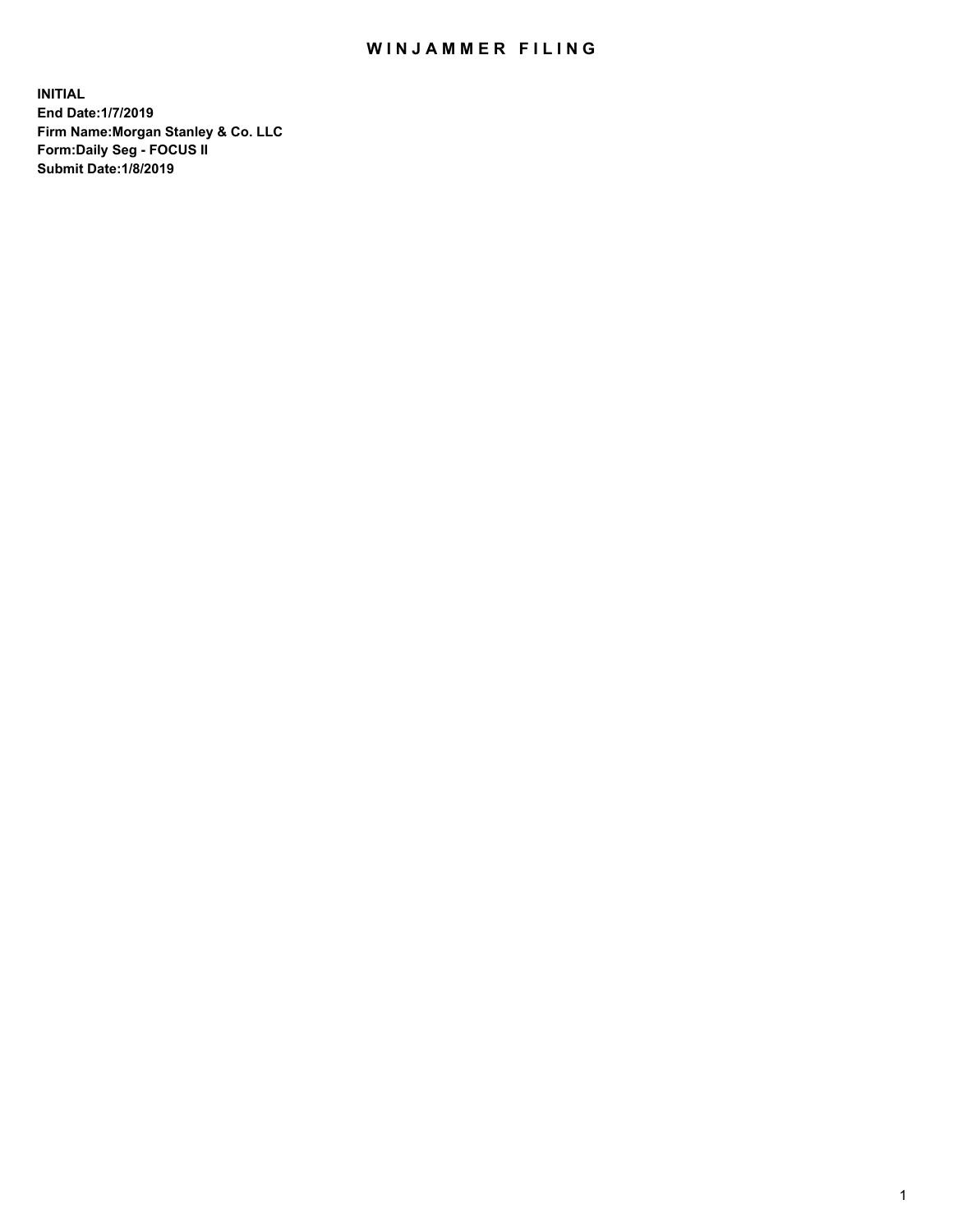## WIN JAMMER FILING

**INITIAL End Date:1/7/2019 Firm Name:Morgan Stanley & Co. LLC Form:Daily Seg - FOCUS II Submit Date:1/8/2019**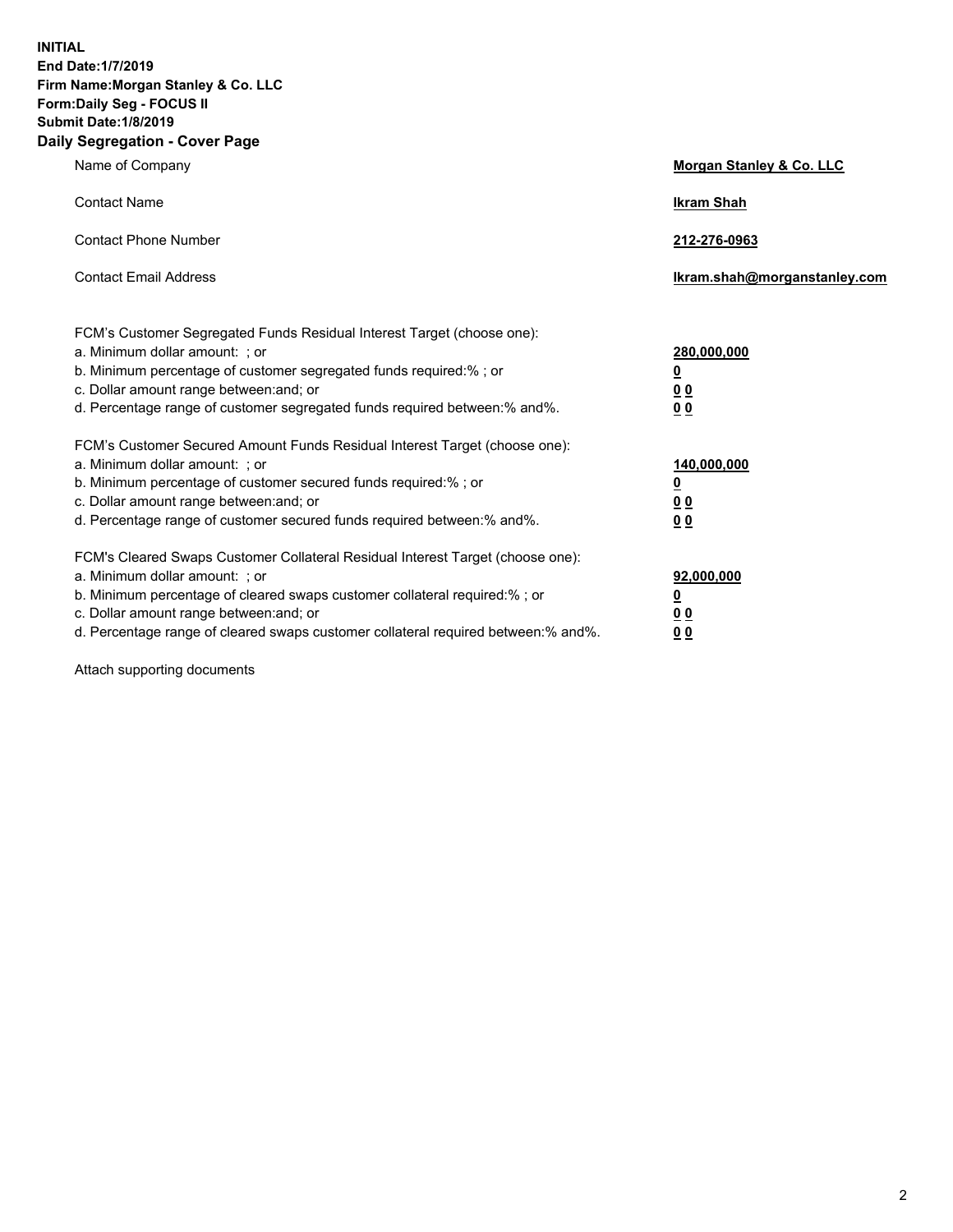**INITIAL End Date:1/7/2019 Firm Name:Morgan Stanley & Co. LLC Form:Daily Seg - FOCUS II Submit Date:1/8/2019 Daily Segregation - Cover Page**

| Name of Company                                                                                                                                                                                                                                                                                                                | Morgan Stanley & Co. LLC                                    |
|--------------------------------------------------------------------------------------------------------------------------------------------------------------------------------------------------------------------------------------------------------------------------------------------------------------------------------|-------------------------------------------------------------|
| <b>Contact Name</b>                                                                                                                                                                                                                                                                                                            | <b>Ikram Shah</b>                                           |
| <b>Contact Phone Number</b>                                                                                                                                                                                                                                                                                                    | 212-276-0963                                                |
| <b>Contact Email Address</b>                                                                                                                                                                                                                                                                                                   | Ikram.shah@morganstanley.com                                |
| FCM's Customer Segregated Funds Residual Interest Target (choose one):<br>a. Minimum dollar amount: ; or<br>b. Minimum percentage of customer segregated funds required:% ; or<br>c. Dollar amount range between: and; or<br>d. Percentage range of customer segregated funds required between:% and%.                         | 280,000,000<br><u>0</u><br>00<br>0 <sub>0</sub>             |
| FCM's Customer Secured Amount Funds Residual Interest Target (choose one):<br>a. Minimum dollar amount: ; or<br>b. Minimum percentage of customer secured funds required:%; or<br>c. Dollar amount range between: and; or<br>d. Percentage range of customer secured funds required between:% and%.                            | 140,000,000<br><u>0</u><br>0 <sub>0</sub><br>0 <sub>0</sub> |
| FCM's Cleared Swaps Customer Collateral Residual Interest Target (choose one):<br>a. Minimum dollar amount: ; or<br>b. Minimum percentage of cleared swaps customer collateral required:% ; or<br>c. Dollar amount range between: and; or<br>d. Percentage range of cleared swaps customer collateral required between:% and%. | 92,000,000<br><u>0</u><br>0 Q<br>0 <sub>0</sub>             |

Attach supporting documents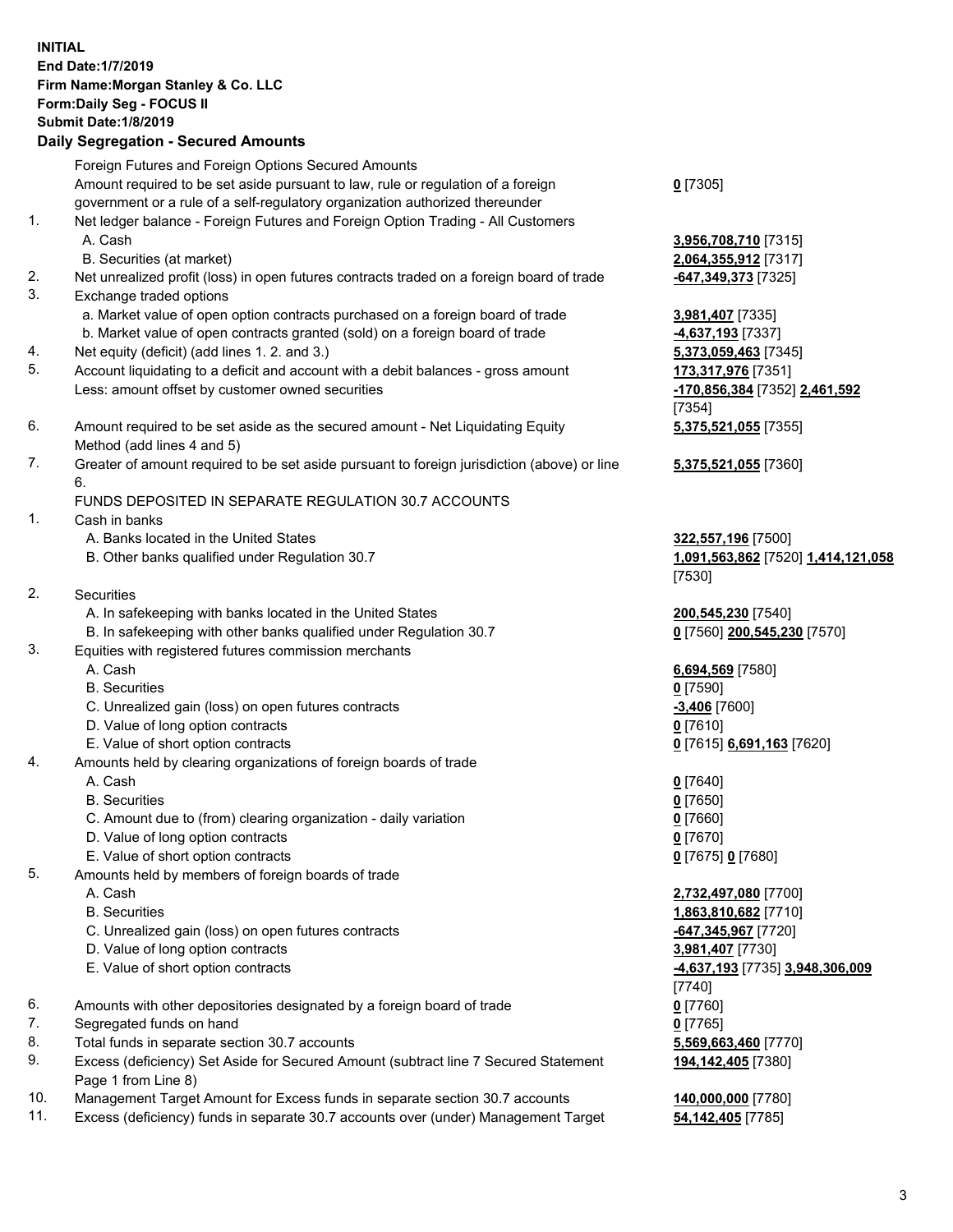|    | <b>INITIAL</b><br>End Date: 1/7/2019<br>Firm Name: Morgan Stanley & Co. LLC<br>Form: Daily Seg - FOCUS II<br><b>Submit Date: 1/8/2019</b><br><b>Daily Segregation - Secured Amounts</b> |                                              |
|----|-----------------------------------------------------------------------------------------------------------------------------------------------------------------------------------------|----------------------------------------------|
|    | Foreign Futures and Foreign Options Secured Amounts<br>Amount required to be set aside pursuant to law, rule or regulation of a foreign                                                 | $0$ [7305]                                   |
| 1. | government or a rule of a self-regulatory organization authorized thereunder<br>Net ledger balance - Foreign Futures and Foreign Option Trading - All Customers<br>A. Cash              | 3,956,708,710 [7315]                         |
|    | B. Securities (at market)                                                                                                                                                               | 2,064,355,912 [7317]                         |
| 2. | Net unrealized profit (loss) in open futures contracts traded on a foreign board of trade                                                                                               | -647,349,373 [7325]                          |
| 3. | Exchange traded options                                                                                                                                                                 |                                              |
|    | a. Market value of open option contracts purchased on a foreign board of trade                                                                                                          | 3,981,407 [7335]                             |
| 4. | b. Market value of open contracts granted (sold) on a foreign board of trade<br>Net equity (deficit) (add lines 1.2. and 3.)                                                            | 4,637,193 [7337]<br>5,373,059,463 [7345]     |
| 5. | Account liquidating to a deficit and account with a debit balances - gross amount                                                                                                       | 173,317,976 [7351]                           |
|    | Less: amount offset by customer owned securities                                                                                                                                        | -170,856,384 [7352] 2,461,592<br>[7354]      |
| 6. | Amount required to be set aside as the secured amount - Net Liquidating Equity                                                                                                          | 5,375,521,055 [7355]                         |
|    | Method (add lines 4 and 5)                                                                                                                                                              |                                              |
| 7. | Greater of amount required to be set aside pursuant to foreign jurisdiction (above) or line<br>6.                                                                                       | 5,375,521,055 [7360]                         |
|    | FUNDS DEPOSITED IN SEPARATE REGULATION 30.7 ACCOUNTS                                                                                                                                    |                                              |
| 1. | Cash in banks                                                                                                                                                                           |                                              |
|    | A. Banks located in the United States<br>B. Other banks qualified under Regulation 30.7                                                                                                 | 322,557,196 [7500]                           |
|    |                                                                                                                                                                                         | 1,091,563,862 [7520] 1,414,121,058<br>[7530] |
| 2. | Securities                                                                                                                                                                              |                                              |
|    | A. In safekeeping with banks located in the United States                                                                                                                               | 200,545,230 [7540]                           |
|    | B. In safekeeping with other banks qualified under Regulation 30.7                                                                                                                      | 0 [7560] 200,545,230 [7570]                  |
| 3. | Equities with registered futures commission merchants                                                                                                                                   |                                              |
|    | A. Cash                                                                                                                                                                                 | 6,694,569 [7580]                             |
|    | <b>B.</b> Securities                                                                                                                                                                    | $0$ [7590]                                   |
|    | C. Unrealized gain (loss) on open futures contracts                                                                                                                                     | -3,406 [7600]                                |
|    | D. Value of long option contracts                                                                                                                                                       | $0$ [7610]                                   |
| 4. | E. Value of short option contracts<br>Amounts held by clearing organizations of foreign boards of trade                                                                                 | 0 [7615] 6,691,163 [7620]                    |
|    | A. Cash                                                                                                                                                                                 | $0$ [7640]                                   |
|    | <b>B.</b> Securities                                                                                                                                                                    | $0$ [7650]                                   |
|    | C. Amount due to (from) clearing organization - daily variation                                                                                                                         | $0$ [7660]                                   |
|    | D. Value of long option contracts                                                                                                                                                       | $0$ [7670]                                   |
|    | E. Value of short option contracts                                                                                                                                                      | 0 [7675] 0 [7680]                            |
| 5. | Amounts held by members of foreign boards of trade                                                                                                                                      |                                              |
|    | A. Cash                                                                                                                                                                                 | 2,732,497,080 [7700]                         |
|    | <b>B.</b> Securities                                                                                                                                                                    | 1,863,810,682 [7710]                         |
|    | C. Unrealized gain (loss) on open futures contracts                                                                                                                                     | -647,345,967 [7720]                          |
|    | D. Value of long option contracts                                                                                                                                                       | 3,981,407 [7730]                             |
|    | E. Value of short option contracts                                                                                                                                                      | -4,637,193 [7735] 3,948,306,009              |
| 6. | Amounts with other depositories designated by a foreign board of trade                                                                                                                  | $[7740]$<br>$0$ [7760]                       |
| 7. | Segregated funds on hand                                                                                                                                                                | $0$ [7765]                                   |
| 8. | Total funds in separate section 30.7 accounts                                                                                                                                           | 5,569,663,460 [7770]                         |
| 9. | Excess (deficiency) Set Aside for Secured Amount (subtract line 7 Secured Statement                                                                                                     | 194,142,405 [7380]                           |
|    | Page 1 from Line 8)                                                                                                                                                                     |                                              |

- 10. Management Target Amount for Excess funds in separate section 30.7 accounts **140,000,000** [7780]
- 11. Excess (deficiency) funds in separate 30.7 accounts over (under) Management Target **54,142,405** [7785]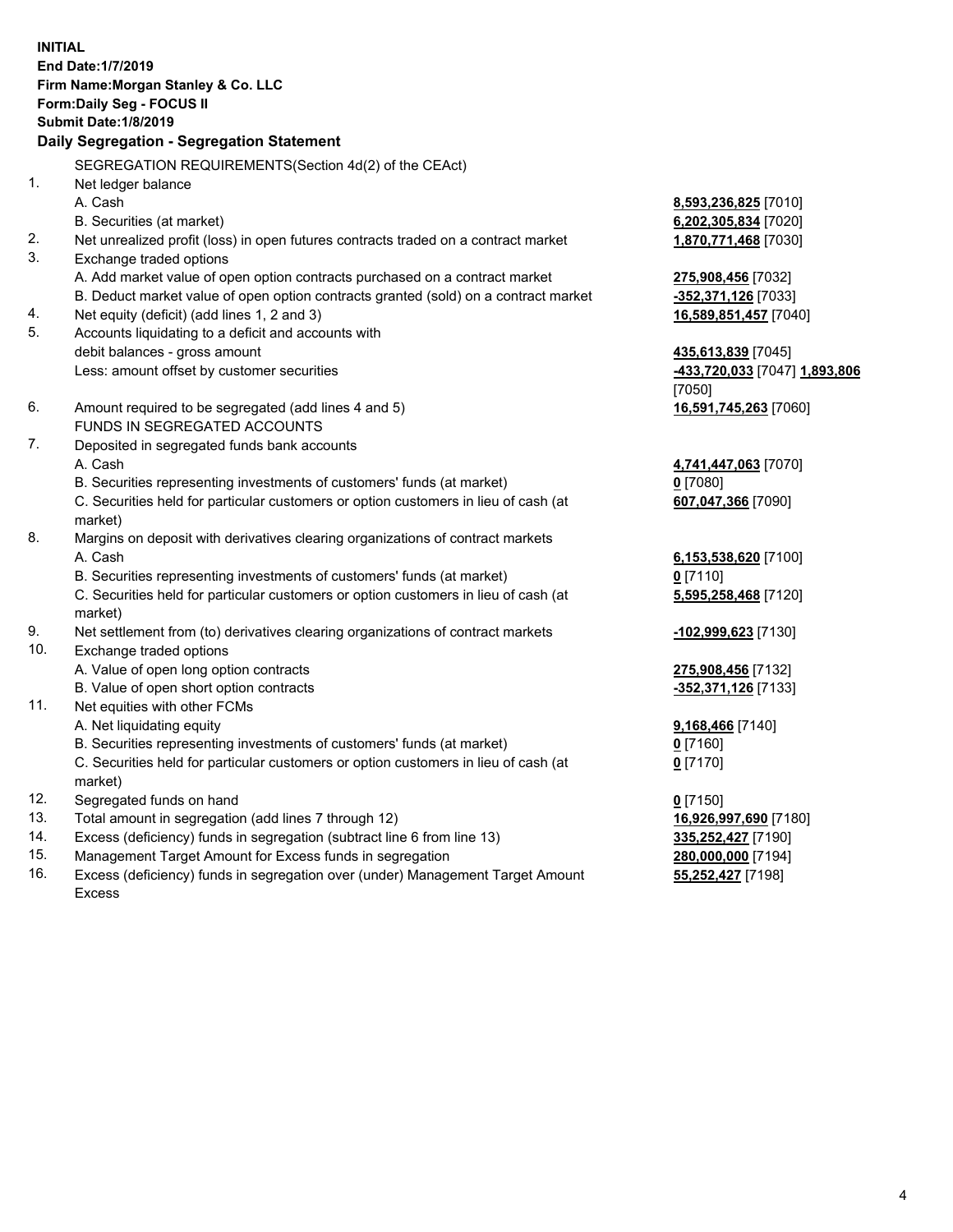**INITIAL End Date:1/7/2019 Firm Name:Morgan Stanley & Co. LLC Form:Daily Seg - FOCUS II Submit Date:1/8/2019 Daily Segregation - Segregation Statement** SEGREGATION REQUIREMENTS(Section 4d(2) of the CEAct) 1. Net ledger balance A. Cash **8,593,236,825** [7010] B. Securities (at market) **6,202,305,834** [7020] 2. Net unrealized profit (loss) in open futures contracts traded on a contract market **1,870,771,468** [7030] 3. Exchange traded options A. Add market value of open option contracts purchased on a contract market **275,908,456** [7032] B. Deduct market value of open option contracts granted (sold) on a contract market **-352,371,126** [7033] 4. Net equity (deficit) (add lines 1, 2 and 3) **16,589,851,457** [7040] 5. Accounts liquidating to a deficit and accounts with debit balances - gross amount **435,613,839** [7045] Less: amount offset by customer securities **-433,720,033** [7047] **1,893,806** [7050] 6. Amount required to be segregated (add lines 4 and 5) **16,591,745,263** [7060] FUNDS IN SEGREGATED ACCOUNTS 7. Deposited in segregated funds bank accounts A. Cash **4,741,447,063** [7070] B. Securities representing investments of customers' funds (at market) **0** [7080] C. Securities held for particular customers or option customers in lieu of cash (at market) **607,047,366** [7090] 8. Margins on deposit with derivatives clearing organizations of contract markets A. Cash **6,153,538,620** [7100] B. Securities representing investments of customers' funds (at market) **0** [7110] C. Securities held for particular customers or option customers in lieu of cash (at market) **5,595,258,468** [7120] 9. Net settlement from (to) derivatives clearing organizations of contract markets **-102,999,623** [7130] 10. Exchange traded options A. Value of open long option contracts **275,908,456** [7132] B. Value of open short option contracts **-352,371,126** [7133] 11. Net equities with other FCMs A. Net liquidating equity **9,168,466** [7140] B. Securities representing investments of customers' funds (at market) **0** [7160] C. Securities held for particular customers or option customers in lieu of cash (at market) **0** [7170] 12. Segregated funds on hand **0** [7150] 13. Total amount in segregation (add lines 7 through 12) **16,926,997,690** [7180] 14. Excess (deficiency) funds in segregation (subtract line 6 from line 13) **335,252,427** [7190]

- 15. Management Target Amount for Excess funds in segregation **280,000,000** [7194]
- 16. Excess (deficiency) funds in segregation over (under) Management Target Amount Excess

**55,252,427** [7198]